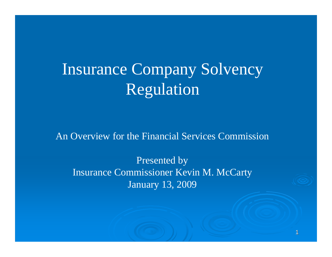# Insurance Company Solvency Regulation

An Overview for the Financial Services Commission

Presented by Insurance Commissioner Kevin M. McCarty January 13, 2009

1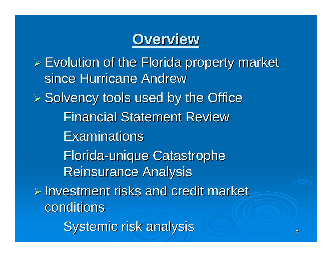

 $\triangleright$  Evolution of the Florida property market since Hurricane Andrew  $>$  Solvency tools used by the Office Financial Statement Review Examinations ExaminationsFlorida-unique Catastrophe **Reinsurance Analysis**  $\triangleright$  Investment risks and credit market conditions **Systemic risk analysis**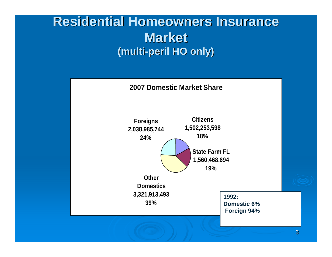# **Residential Homeowners Insurance Residential Homeowners Insurance Market (multi -peril HO only) peril HO only)**

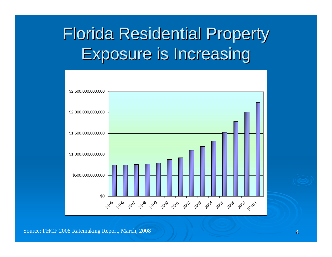# Florida Residential Property Exposure is Increasing



Source: FHCF 2008 Ratemaking Report, March, 2008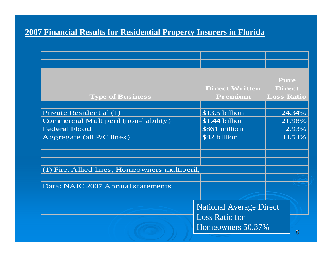### **2007 Financial Results for Residential Property Insurers in Florida**

|                                                |                                | <b>Pure</b>       |
|------------------------------------------------|--------------------------------|-------------------|
|                                                | <b>Direct Written</b>          | <b>Direct</b>     |
| <b>Type of Business</b>                        | <b>Premium</b>                 | <b>Loss Ratio</b> |
|                                                |                                |                   |
| Private Residential (1)                        | \$13.5 billion                 | 24.34%            |
| Commercial Multiperil (non-liability)          | \$1.44 billion                 | 21.98%            |
| <b>Federal Flood</b>                           | \$861 million                  | 2.93%             |
| Aggregate (all P/C lines)                      | \$42 billion                   | 43.54%            |
|                                                |                                |                   |
|                                                |                                |                   |
|                                                |                                |                   |
| (1) Fire, Allied lines, Homeowners multiperil, |                                |                   |
|                                                |                                |                   |
| Data: NAIC 2007 Annual statements              |                                |                   |
|                                                |                                |                   |
|                                                |                                |                   |
|                                                | <b>National Average Direct</b> |                   |
|                                                | <b>Loss Ratio for</b>          |                   |
|                                                | Homeowners 50.37%              |                   |
|                                                |                                | 5                 |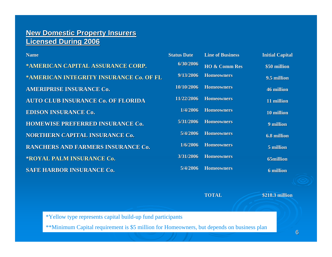### **New Domestic Property Insurers Licensed During 2006 Licensed During 2006**

| <b>Name</b>                               | <b>Status Date</b> | <b>Line of Business</b>  | <b>Initial Capital</b> |
|-------------------------------------------|--------------------|--------------------------|------------------------|
| *AMERICAN CAPITAL ASSURANCE CORP.         | 6/30/2006          | <b>HO &amp; Comm Res</b> | \$50 million           |
| *AMERICAN INTEGRITY INSURANCE Co. OF FL   | 9/13/2006          | <b>Homeowners</b>        | 9.5 million            |
| <b>AMERIPRISE INSURANCE Co.</b>           | 10/10/2006         | <b>Homeowners</b>        | <b>46 million</b>      |
| <b>AUTO CLUB INSURANCE Co. OF FLORIDA</b> | 11/22/2006         | <b>Homeowners</b>        | 11 million             |
| <b>EDISON INSURANCE Co.</b>               | 1/4/2006           | <b>Homeowners</b>        | 10 million             |
| <b>HOMEWISE PREFERRED INSURANCE Co.</b>   | 5/31/2006          | <b>Homeowners</b>        | 9 million              |
| <b>NORTHERN CAPITAL INSURANCE Co.</b>     | 5/4/2006           | <b>Homeowners</b>        | <b>6.8 million</b>     |
| <b>RANCHERS AND FARMERS INSURANCE Co.</b> | 1/6/2006           | <b>Homeowners</b>        | 5 million              |
| *ROYAL PALM INSURANCE Co.                 | 3/31/2006          | <b>Homeowners</b>        | <b>65million</b>       |
| <b>SAFE HARBOR INSURANCE Co.</b>          | 5/4/2006           | <b>Homeowners</b>        | <b>6 million</b>       |

**TOTAL**

**\$218.3 million**

\*Yellow type represents capital build-up fund participants

\*\*Minimum Capital requirement is \$5 million for Homeowners, but depends on business plan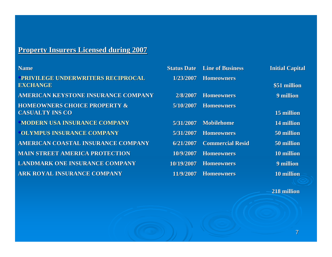### **Property Insurers Licensed during 2007**

| <b>Name</b>                                                       | <b>Status Date</b> | <b>Line of Business</b> | <b>Initial Capital</b> |
|-------------------------------------------------------------------|--------------------|-------------------------|------------------------|
| <b>*PRIVILEGE UNDERWRITERS RECIPROCAL</b><br><b>EXCHANGE</b>      | 1/23/2007          | <b>Homeowners</b>       | \$51 million           |
| <b>AMERICAN KEYSTONE INSURANCE COMPANY</b>                        | 2/8/2007           | <b>Homeowners</b>       | 9 million              |
| <b>HOMEOWNERS CHOICE PROPERTY &amp;</b><br><b>CASUALTY INS CO</b> | 5/10/2007          | <b>Homeowners</b>       | 15 million             |
| *MODERN USA INSURANCE COMPANY                                     | 5/31/2007          | <b>Mobilehome</b>       | 14 million             |
| *OLYMPUS INSURANCE COMPANY                                        | 5/31/2007          | <b>Homeowners</b>       | 50 million             |
| <b>AMERICAN COASTAL INSURANCE COMPANY</b>                         | 6/21/2007          | <b>Commercial Resid</b> | 50 million             |
| <b>MAIN STREET AMERICA PROTECTION</b>                             | 10/9/2007          | <b>Homeowners</b>       | <b>10 million</b>      |
| <b>LANDMARK ONE INSURANCE COMPANY</b>                             | 10/19/2007         | <b>Homeowners</b>       | 9 million              |
| <b>ARK ROYAL INSURANCE COMPANY</b>                                | 11/9/2007          | <b>Homeowners</b>       | <b>10 million</b>      |

**218 million 218 million**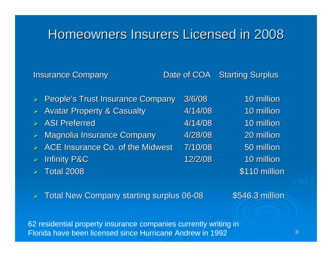## Homeowners Insurers Licensed in 2008

Insurance Company **Insurance Company** Date of COA Starting Surplus

| $\triangleright$ People's Trust Insurance Company | 3/6/08  |
|---------------------------------------------------|---------|
| > Avatar Property & Casualty                      | 4/14/08 |
| > ASI Preferred                                   | 4/14/08 |
| > Magnolia Insurance Company                      | 4/28/08 |
| $\triangleright$ ACE Insurance Co. of the Midwest | 7/10/08 |
| > Infinity P&C                                    | 12/2/08 |
| $\triangleright$ Total 2008                       |         |

10 million 10 million 10 million 20 million 50 million 10 million \$110 million

\$546.3 million

¾ $\geqslant$  Total New Company starting surplus 06-08

62 residential property insurance companies currently writing in Florida have been licensed since Hurricane Andrew in 1992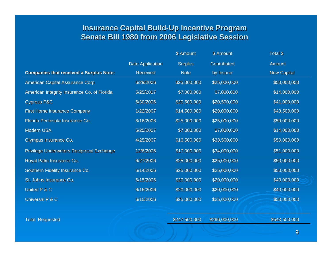### **Insurance Capital Build-Up Incentive Program Senate Bill 1980 from 2006 Legislative Session**

|                                                |                         | \$ Amount      | \$ Amount          | Total \$           |
|------------------------------------------------|-------------------------|----------------|--------------------|--------------------|
|                                                | <b>Date Application</b> | <b>Surplus</b> | <b>Contributed</b> | Amount             |
| <b>Companies that received a Surplus Note:</b> | <b>Received</b>         | <b>Note</b>    | by Insurer         | <b>New Capital</b> |
| <b>American Capital Assurance Corp</b>         | 6/29/2006               | \$25,000,000   | \$25,000,000       | \$50,000,000       |
| American Integrity Insurance Co. of Florida    | 5/25/2007               | \$7,000,000    | \$7,000,000        | \$14,000,000       |
| <b>Cypress P&amp;C</b>                         | 6/30/2006               | \$20,500,000   | \$20,500,000       | \$41,000,000       |
| <b>First Home Insurance Company</b>            | 1/22/2007               | \$14,500,000   | \$29,000,000       | \$43,500,000       |
| Florida Peninsula Insurance Co.                | 6/16/2006               | \$25,000,000   | \$25,000,000       | \$50,000,000       |
| <b>Modern USA</b>                              | 5/25/2007               | \$7,000,000    | \$7,000,000        | \$14,000,000       |
| Olympus Insurance Co.                          | 4/25/2007               | \$16,500,000   | \$33,500,000       | \$50,000,000       |
| Privilege Underwriters Reciprocal Exchange     | 12/6/2006               | \$17,000,000   | \$34,000,000       | \$51,000,000       |
| Royal Palm Insurance Co.                       | 6/27/2006               | \$25,000,000   | \$25,000,000       | \$50,000,000       |
| Southern Fidelity Insurance Co.                | 6/14/2006               | \$25,000,000   | \$25,000,000       | \$50,000,000       |
| St. Johns Insurance Co.                        | 6/15/2006               | \$20,000,000   | \$20,000,000       | \$40,000,000       |
| United P & C                                   | 6/16/2006               | \$20,000,000   | \$20,000,000       | \$40,000,000       |
| Universal P & C                                | 6/15/2006               | \$25,000,000   | \$25,000,000       | \$50,000,000       |
| <b>Total Requested</b>                         |                         | \$247,500,000  | \$296,000,000      | \$543,500,000      |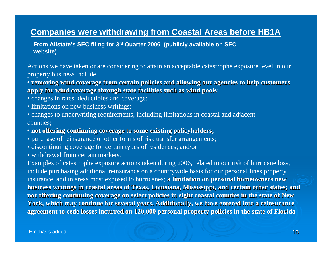### **Companies were withdrawing from Coastal Areas before HB1A**

**From Allstate's SEC filing for 3rd Quarter 2006 (publicly available on SEC website)**

Actions we have taken or are considering to attain an acceptable catastrophe exposure level in our property business include:

- **removing wind coverage from certain policies and allowing our agencies to help customers** apply for wind coverage through state facilities such as wind pools;
- changes in rates, deductibles and coverage;
- limitations on new business writings;
- changes to underwriting requirements, including limitations in coastal and adjacent counties;
- not offering continuing coverage to some existing policyholders;
- purchase of reinsurance or other forms of risk transfer arrangements;
- discontinuing coverage for certain types of residences; and/or
- withdrawal from certain markets.

Examples of catastrophe exposure actions taken during 2006, related to our risk of hurricane loss, include purchasing additional reinsurance on a countrywide basis for our personal lines property insurance, and in areas most exposed to hurricanes; **a limitation on personal homeowners new** business writings in coastal areas of Texas, Louisiana, Mississippi, and certain other states; and **not offering continuing coverage on select policies in eight coastal counties in the state of New** York, which may continue for several years. Additionally, we have entered into a reinsurance agreement to cede losses incurred on 120,000 personal property policies in the state of Florida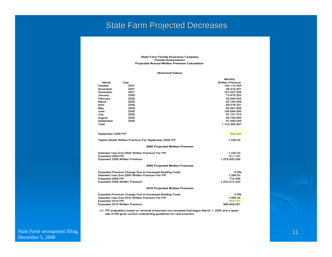### **State Farm Projected Decreases**

#### State Farm Florida Insurance Company **Florida Homeowners** Projected Annual Written Premium Calculation

#### **Historical Values**

|                                |                                                                                                   | Monthly                |  |
|--------------------------------|---------------------------------------------------------------------------------------------------|------------------------|--|
| Month                          | Year                                                                                              | <b>Written Premium</b> |  |
| October                        | 2007                                                                                              | 104.112.304            |  |
| November                       | 2007                                                                                              | 88.878.451             |  |
| December                       | 2007                                                                                              | 107.047.920            |  |
| January                        | 2008                                                                                              | 73,976,263             |  |
| February                       | 2008                                                                                              | 83.894.833             |  |
| March                          | 2008                                                                                              | 93.184.358             |  |
| April                          | 2008                                                                                              | 88,016,391             |  |
| May                            | 2008                                                                                              | 95.687.808             |  |
| June                           | 2008                                                                                              | 109,664,095            |  |
| July                           | 2008                                                                                              | 97.747.374             |  |
| August                         | 2008                                                                                              | 99.794.655             |  |
| September                      | 2008                                                                                              | 81,860,045             |  |
| Total                          |                                                                                                   | 1,123,864,497          |  |
|                                |                                                                                                   |                        |  |
| September 2008 PIF             |                                                                                                   | 844,994                |  |
|                                | Twelve Month Written Premium Per September 2008 PIF                                               | 1,330.03               |  |
|                                | 2008 Projected Written Premium                                                                    |                        |  |
|                                | Selected Year End 2008 Written Premium Per PIF                                                    | 1.330.03               |  |
| Expected 2008 PIF              |                                                                                                   | 811,187                |  |
|                                | Expected 2008 Written Premium                                                                     | 1.078.900.288          |  |
|                                | 2009 Projected Written Premium                                                                    |                        |  |
|                                | Expected Premium Change Due to Increased Building Costs                                           | 5.0%                   |  |
|                                | Selected Year End 2009 Written Premium Per PIF                                                    | 1.396.53               |  |
| Expected 2009 PIF              |                                                                                                   | 732,468                |  |
|                                | Expected 2009 Written Premium                                                                     | 1,022,912,020          |  |
| 2010 Projected Written Premium |                                                                                                   |                        |  |
|                                | Expected Premium Change Due to Increased Building Costs                                           | 5.0%                   |  |
|                                | Selected Year End 2010 Written Premium Per PIF                                                    | 1.466.35               |  |
| Expected 2010 PIF              |                                                                                                   | 675,791                |  |
|                                | Expected 2010 Written Premium                                                                     | 990.949.057            |  |
|                                | (1) PIF projections based on removal of planned non-renewals that began March 1, 2008 and a lapse |                        |  |
|                                | rate of 8% given current underwriting guidelines for new business.                                |                        |  |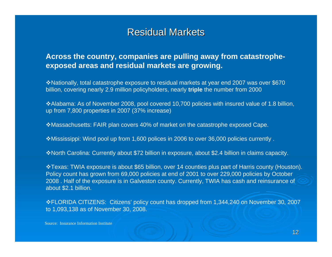### Residual Markets

### **Across the country, companies are pulling away from catastropheexposed areas and residual markets are growing.**

Nationally, total catastrophe exposure to residual markets at year end 2007 was over \$670 billion, covering nearly 2.9 million policyholders, nearly **triple** the number from 2000

Alabama: As of November 2008, pool covered 10,700 policies with insured value of 1.8 billion, up from 7,800 properties in 2007 (37% increase)

Massachusetts: FAIR plan covers 40% of market on the catastrophe exposed Cape.

Mississippi: Wind pool up from 1,600 polices in 2006 to over 36,000 policies currently .

North Carolina: Currently about \$72 billion in exposure, about \$2.4 billion in claims capacity.

Texas: TWIA exposure is about \$65 billion, over 14 counties plus part of Harris county (Houston). Policy count has grown from 69,000 policies at end of 2001 to over 229,000 policies by October 2008 . Half of the exposure is in Galveston county. Currently, TWIA has cash and reinsurance of about \$2.1 billion.

FLORIDA CITIZENS: Citizens' policy count has dropped from 1,344,240 on November 30, 2007 to 1,093,138 as of November 30, 2008.

Source: Insurance Information Institute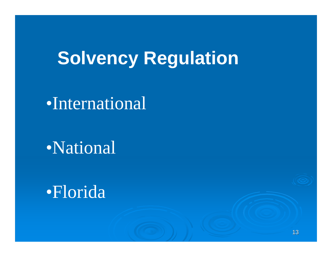# **Solvency Regulation**

•International

•National

•Florida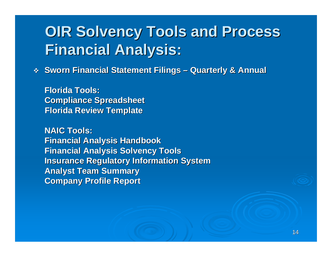# **OIR Solvency Tools and Process Financial Analysis: Financial Analysis:**

 $\textcolor{red}{\bm{\hat{}}\bm{\hat{v}}}$  Sworn Financial Statement Filings <sub>i</sub> **– Quarterly & Annual Quarterly & Annual**

**Florida Tools: Florida Tools:Compliance Spreadsheet Compliance Spreadsheet Florida Review Template Florida Review Template**

**NAIC Tools: NAIC Tools: Financial Analysis Handbook Financial Analysis Handbook Financial Analysis Solvency Tools Financial Analysis Solvency Tools Insurance Regulatory Information System Analyst Team Summary Analyst Team Summary Company Profile Report Company Profile Report**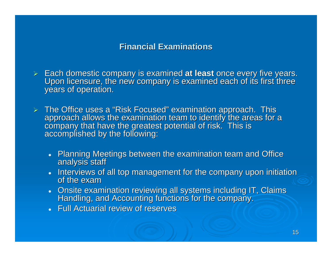### **Financial Examinations Financial Examinations**

- $\triangleright$  Each domestic company is examined at least once every five years. Upon licensure, the new company is examined each of its first three years of operation.
- $\triangleright$  The Office uses a "Risk Focused" examination approach. This approach allows the examination team to identify the areas for a company that have the greatest potential of risk. This is accomplished by the following:
	- $\bullet$ Planning Meetings between the examination team and Office analysis staff
	- $\bullet$ Interviews of all top management for the company upon initiation of the exam
	- $\bullet$ • Onsite examination reviewing all systems including IT, Claims<br>Handling, and Accounting functions for the company.
	- **Full Actuarial review of reserves**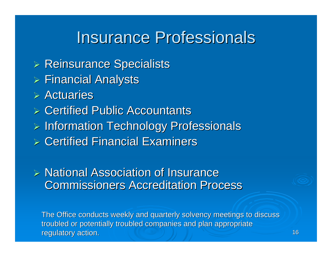# **Insurance Professionals**

- $>$  Reinsurance Specialists
- $\triangleright$  Financial Analysts
- $\triangleright$  Actuaries
- $\triangleright$  Certified Public Accountants
- ¾ Information Technology Professionals Information Technology Professionals
- $\triangleright$  Certified Financial Examiners
- $\triangleright$  National Association of Insurance **Commissioners Accreditation Process**

The Office conducts weekly and quarterly solvency meetings to discuss troubled or potentially troubled companies and plan appropriate regulatory action.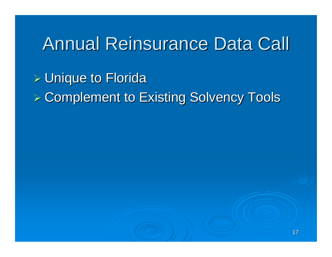# Annual Reinsurance Data Call

 $\triangleright$  Unique to Florida

 $\triangleright$  Complement to Existing Solvency Tools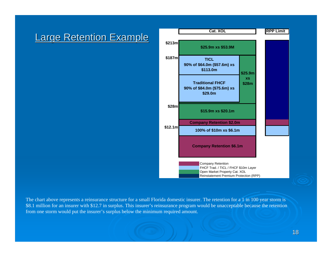## **Large Retention Example**



The chart above represents a reinsurance structure for a small Florida domestic insurer. The retention for a 1 in 100 year storm is \$8.1 million for an insurer with \$12.7 in surplus. This insurer's reinsurance program would be unacceptable because the retention from one storm would put the insurer's surplus below the minimum required amount.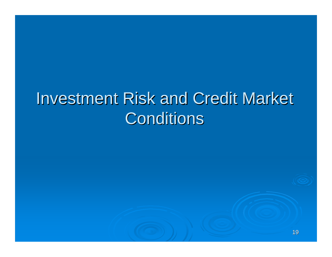# **Investment Risk and Credit Market Conditions**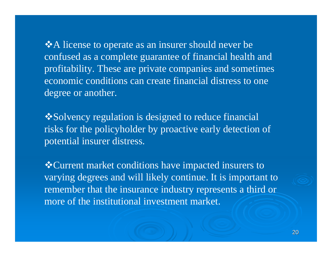$\triangle A$  **license to operate as an insurer should never be** confused as a complete guarantee of financial health and profitability. These are private companies and sometimes economic conditions can create financial distress to one degree or another.

 $\triangle$ **Solvency regulation is designed to reduce financial** risks for the policyholder by proactive early detection of potential insurer distress.

Current market conditions have impacted insurers to varying degrees and will likely continue. It is important to remember that the insurance industry represents a third or more of the institutional investment market.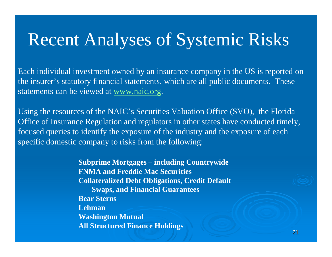# Recent Analyses of Systemic Risks

Each individual investment owned by an insurance company in the US is reported on the insurer's statutory financial statements, which are all public documents. These statements can be viewed at [www.naic.org](http://www.naic.org/).

Using the resources of the NAIC's Securities Valuation Office (SVO), the Florida Office of Insurance Regulation and regulators in other states have conducted timely, focused queries to identify the exposure of the industry and the exposure of each specific domestic company to risks from the following:

> **Subprime Mortgages – including Countrywide FNMA and Freddie Mac SecuritiesCollateralized Debt Obligations, Credit Default Swaps, and Financial Guarantees Bear SternsLehmanWashington Mutual All Structured Finance Holdings**